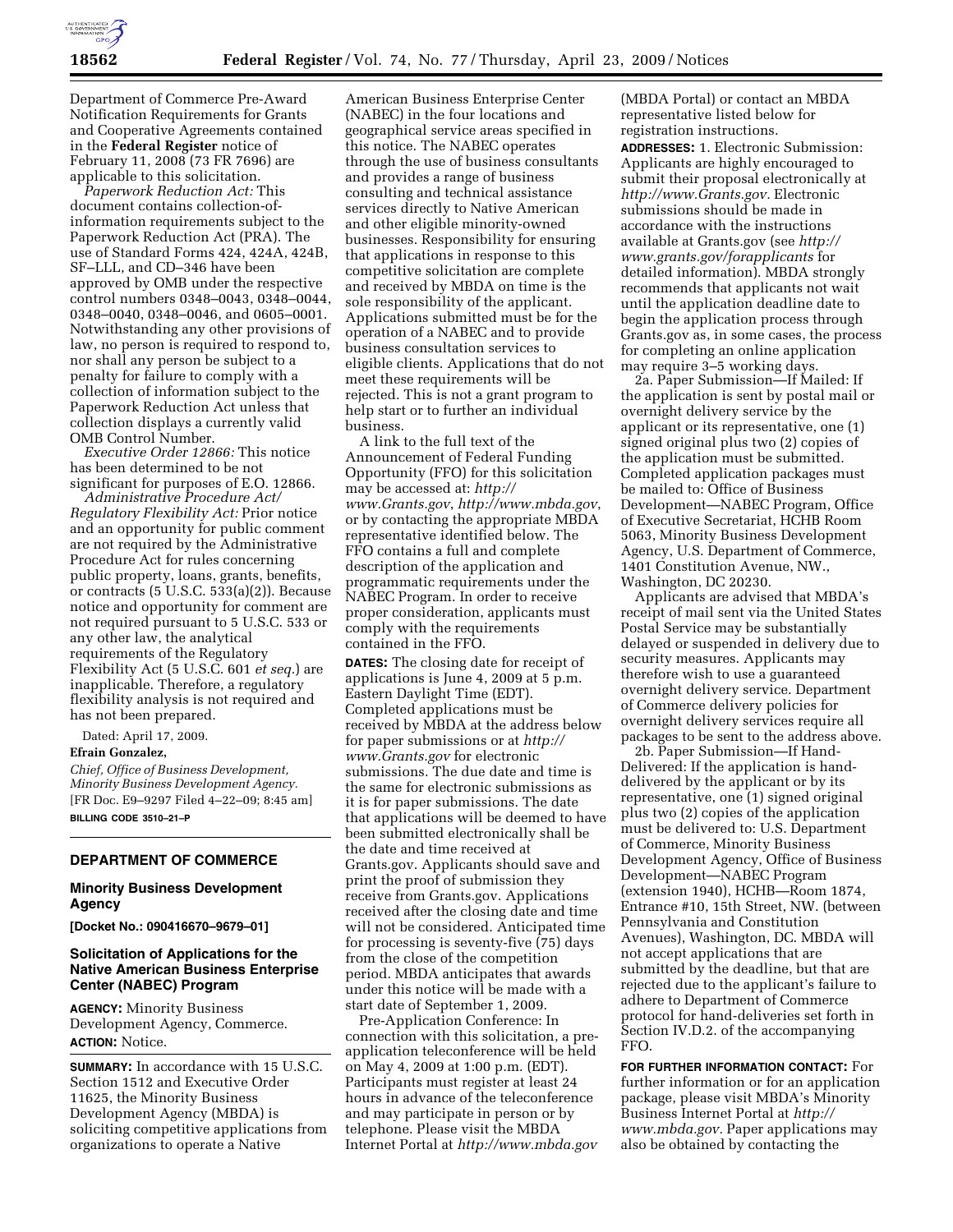

Department of Commerce Pre-Award Notification Requirements for Grants and Cooperative Agreements contained in the **Federal Register** notice of February 11, 2008 (73 FR 7696) are applicable to this solicitation.

*Paperwork Reduction Act:* This document contains collection-ofinformation requirements subject to the Paperwork Reduction Act (PRA). The use of Standard Forms 424, 424A, 424B, SF–LLL, and CD–346 have been approved by OMB under the respective control numbers 0348–0043, 0348–0044, 0348–0040, 0348–0046, and 0605–0001. Notwithstanding any other provisions of law, no person is required to respond to, nor shall any person be subject to a penalty for failure to comply with a collection of information subject to the Paperwork Reduction Act unless that collection displays a currently valid OMB Control Number.

*Executive Order 12866:* This notice has been determined to be not significant for purposes of E.O. 12866.

*Administrative Procedure Act/ Regulatory Flexibility Act:* Prior notice and an opportunity for public comment are not required by the Administrative Procedure Act for rules concerning public property, loans, grants, benefits, or contracts (5 U.S.C. 533(a)(2)). Because notice and opportunity for comment are not required pursuant to 5 U.S.C. 533 or any other law, the analytical requirements of the Regulatory Flexibility Act (5 U.S.C. 601 *et seq.*) are inapplicable. Therefore, a regulatory flexibility analysis is not required and has not been prepared.

Dated: April 17, 2009.

#### **Efrain Gonzalez,**

*Chief, Office of Business Development, Minority Business Development Agency.*  [FR Doc. E9–9297 Filed 4–22–09; 8:45 am] **BILLING CODE 3510–21–P** 

## **DEPARTMENT OF COMMERCE**

## **Minority Business Development Agency**

**[Docket No.: 090416670–9679–01]** 

## **Solicitation of Applications for the Native American Business Enterprise Center (NABEC) Program**

**AGENCY:** Minority Business Development Agency, Commerce. **ACTION:** Notice.

**SUMMARY:** In accordance with 15 U.S.C. Section 1512 and Executive Order 11625, the Minority Business Development Agency (MBDA) is soliciting competitive applications from organizations to operate a Native

American Business Enterprise Center (NABEC) in the four locations and geographical service areas specified in this notice. The NABEC operates through the use of business consultants and provides a range of business consulting and technical assistance services directly to Native American and other eligible minority-owned businesses. Responsibility for ensuring that applications in response to this competitive solicitation are complete and received by MBDA on time is the sole responsibility of the applicant. Applications submitted must be for the operation of a NABEC and to provide business consultation services to eligible clients. Applications that do not meet these requirements will be rejected. This is not a grant program to help start or to further an individual business.

A link to the full text of the Announcement of Federal Funding Opportunity (FFO) for this solicitation may be accessed at: *http:// www.Grants.gov*, *http://www.mbda.gov*, or by contacting the appropriate MBDA representative identified below. The FFO contains a full and complete description of the application and programmatic requirements under the NABEC Program. In order to receive proper consideration, applicants must comply with the requirements contained in the FFO.

**DATES:** The closing date for receipt of applications is June 4, 2009 at 5 p.m. Eastern Daylight Time (EDT). Completed applications must be received by MBDA at the address below for paper submissions or at *http:// www.Grants.gov* for electronic submissions. The due date and time is the same for electronic submissions as it is for paper submissions. The date that applications will be deemed to have been submitted electronically shall be the date and time received at Grants.gov. Applicants should save and print the proof of submission they receive from Grants.gov. Applications received after the closing date and time will not be considered. Anticipated time for processing is seventy-five (75) days from the close of the competition period. MBDA anticipates that awards under this notice will be made with a start date of September 1, 2009.

Pre-Application Conference: In connection with this solicitation, a preapplication teleconference will be held on May 4, 2009 at 1:00 p.m. (EDT). Participants must register at least 24 hours in advance of the teleconference and may participate in person or by telephone. Please visit the MBDA Internet Portal at *http://www.mbda.gov* 

(MBDA Portal) or contact an MBDA representative listed below for registration instructions.

**ADDRESSES:** 1. Electronic Submission: Applicants are highly encouraged to submit their proposal electronically at *http://www.Grants.gov.* Electronic submissions should be made in accordance with the instructions available at Grants.gov (see *http:// www.grants.gov/forapplicants* for detailed information). MBDA strongly recommends that applicants not wait until the application deadline date to begin the application process through Grants.gov as, in some cases, the process for completing an online application may require 3–5 working days.

2a. Paper Submission—If Mailed: If the application is sent by postal mail or overnight delivery service by the applicant or its representative, one (1) signed original plus two (2) copies of the application must be submitted. Completed application packages must be mailed to: Office of Business Development—NABEC Program, Office of Executive Secretariat, HCHB Room 5063, Minority Business Development Agency, U.S. Department of Commerce, 1401 Constitution Avenue, NW., Washington, DC 20230.

Applicants are advised that MBDA's receipt of mail sent via the United States Postal Service may be substantially delayed or suspended in delivery due to security measures. Applicants may therefore wish to use a guaranteed overnight delivery service. Department of Commerce delivery policies for overnight delivery services require all packages to be sent to the address above.

2b. Paper Submission—If Hand-Delivered: If the application is handdelivered by the applicant or by its representative, one (1) signed original plus two (2) copies of the application must be delivered to: U.S. Department of Commerce, Minority Business Development Agency, Office of Business Development—NABEC Program (extension 1940), HCHB—Room 1874, Entrance #10, 15th Street, NW. (between Pennsylvania and Constitution Avenues), Washington, DC. MBDA will not accept applications that are submitted by the deadline, but that are rejected due to the applicant's failure to adhere to Department of Commerce protocol for hand-deliveries set forth in Section IV.D.2. of the accompanying FFO.

**FOR FURTHER INFORMATION CONTACT:** For further information or for an application package, please visit MBDA's Minority Business Internet Portal at *http:// www.mbda.gov.* Paper applications may also be obtained by contacting the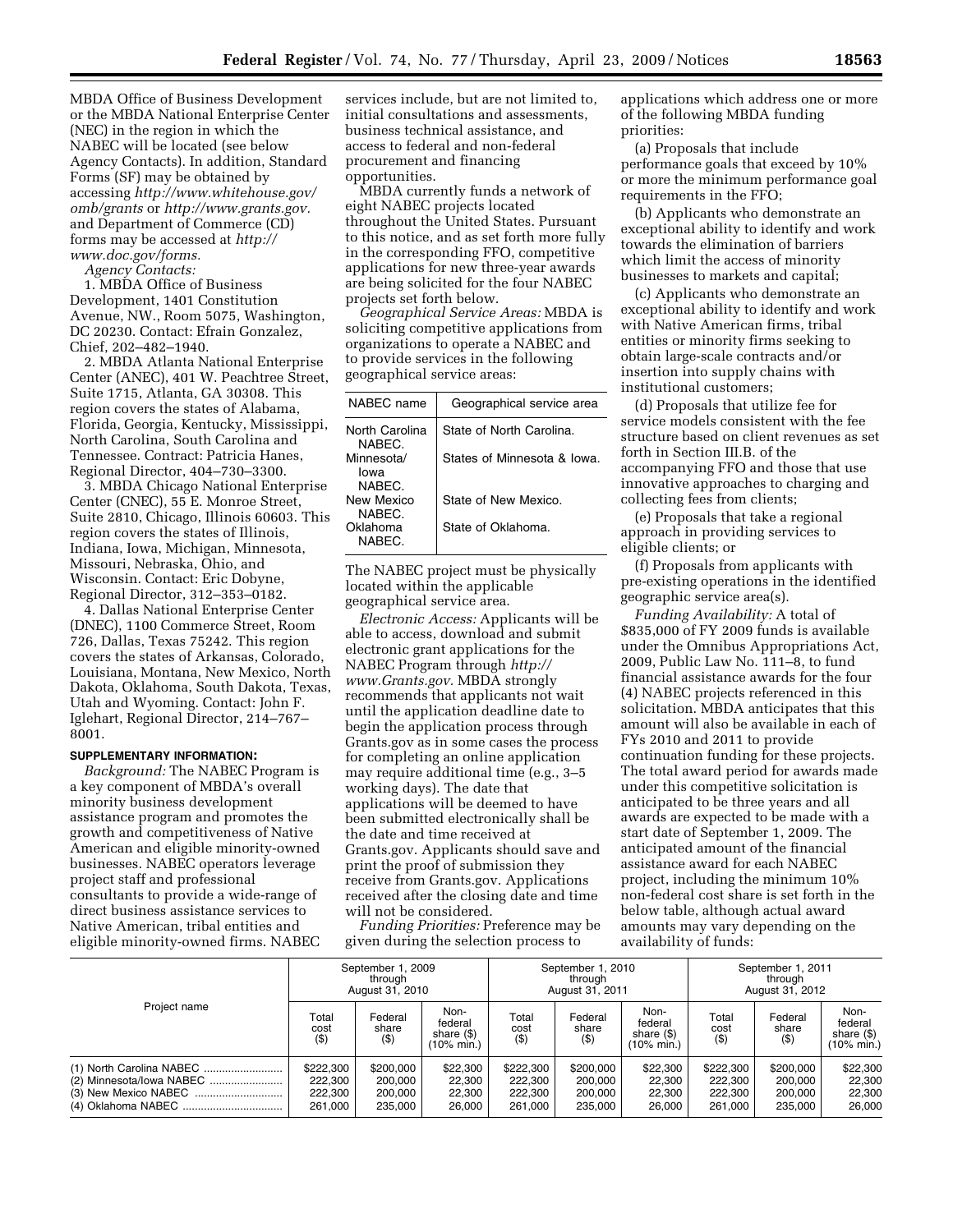MBDA Office of Business Development or the MBDA National Enterprise Center (NEC) in the region in which the NABEC will be located (see below Agency Contacts). In addition, Standard Forms (SF) may be obtained by accessing *http://www.whitehouse.gov/ omb/grants* or *http://www.grants.gov.*  and Department of Commerce (CD) forms may be accessed at *http:// www.doc.gov/forms.* 

*Agency Contacts:* 

1. MBDA Office of Business Development, 1401 Constitution Avenue, NW., Room 5075, Washington, DC 20230. Contact: Efrain Gonzalez, Chief, 202–482–1940.

2. MBDA Atlanta National Enterprise Center (ANEC), 401 W. Peachtree Street, Suite 1715, Atlanta, GA 30308. This region covers the states of Alabama, Florida, Georgia, Kentucky, Mississippi, North Carolina, South Carolina and Tennessee. Contract: Patricia Hanes, Regional Director, 404–730–3300.

3. MBDA Chicago National Enterprise Center (CNEC), 55 E. Monroe Street, Suite 2810, Chicago, Illinois 60603. This region covers the states of Illinois, Indiana, Iowa, Michigan, Minnesota, Missouri, Nebraska, Ohio, and Wisconsin. Contact: Eric Dobyne, Regional Director, 312–353–0182.

4. Dallas National Enterprise Center (DNEC), 1100 Commerce Street, Room 726, Dallas, Texas 75242. This region covers the states of Arkansas, Colorado, Louisiana, Montana, New Mexico, North Dakota, Oklahoma, South Dakota, Texas, Utah and Wyoming. Contact: John F. Iglehart, Regional Director, 214–767– 8001.

### **SUPPLEMENTARY INFORMATION:**

*Background:* The NABEC Program is a key component of MBDA's overall minority business development assistance program and promotes the growth and competitiveness of Native American and eligible minority-owned businesses. NABEC operators leverage project staff and professional consultants to provide a wide-range of direct business assistance services to Native American, tribal entities and eligible minority-owned firms. NABEC

services include, but are not limited to, initial consultations and assessments, business technical assistance, and access to federal and non-federal procurement and financing opportunities.

MBDA currently funds a network of eight NABEC projects located throughout the United States. Pursuant to this notice, and as set forth more fully in the corresponding FFO, competitive applications for new three-year awards are being solicited for the four NABEC projects set forth below.

*Geographical Service Areas:* MBDA is soliciting competitive applications from organizations to operate a NABEC and to provide services in the following geographical service areas:

| NABFC name                   | Geographical service area   |
|------------------------------|-----------------------------|
| North Carolina<br>NABEC.     | State of North Carolina.    |
| Minnesota/<br>lowa<br>NABEC. | States of Minnesota & Iowa. |
| New Mexico<br>NABEC.         | State of New Mexico.        |
| Oklahoma<br>NARFC.           | State of Oklahoma.          |

The NABEC project must be physically located within the applicable geographical service area.

*Electronic Access:* Applicants will be able to access, download and submit electronic grant applications for the NABEC Program through *http:// www.Grants.gov.* MBDA strongly recommends that applicants not wait until the application deadline date to begin the application process through Grants.gov as in some cases the process for completing an online application may require additional time (e.g., 3–5 working days). The date that applications will be deemed to have been submitted electronically shall be the date and time received at Grants.gov. Applicants should save and print the proof of submission they receive from Grants.gov. Applications received after the closing date and time will not be considered.

*Funding Priorities:* Preference may be given during the selection process to

applications which address one or more of the following MBDA funding priorities:

(a) Proposals that include performance goals that exceed by 10% or more the minimum performance goal requirements in the FFO;

(b) Applicants who demonstrate an exceptional ability to identify and work towards the elimination of barriers which limit the access of minority businesses to markets and capital;

(c) Applicants who demonstrate an exceptional ability to identify and work with Native American firms, tribal entities or minority firms seeking to obtain large-scale contracts and/or insertion into supply chains with institutional customers;

(d) Proposals that utilize fee for service models consistent with the fee structure based on client revenues as set forth in Section III.B. of the accompanying FFO and those that use innovative approaches to charging and collecting fees from clients;

(e) Proposals that take a regional approach in providing services to eligible clients; or

(f) Proposals from applicants with pre-existing operations in the identified geographic service area(s).

*Funding Availability:* A total of \$835,000 of FY 2009 funds is available under the Omnibus Appropriations Act, 2009, Public Law No. 111–8, to fund financial assistance awards for the four (4) NABEC projects referenced in this solicitation. MBDA anticipates that this amount will also be available in each of FYs 2010 and 2011 to provide continuation funding for these projects. The total award period for awards made under this competitive solicitation is anticipated to be three years and all awards are expected to be made with a start date of September 1, 2009. The anticipated amount of the financial assistance award for each NABEC project, including the minimum 10% non-federal cost share is set forth in the below table, although actual award amounts may vary depending on the availability of funds:

| Project name                                         | September 1, 2009<br>through<br>August 31, 2010 |                                            | September 1, 2010<br>through<br>August 31, 2011           |                                            |                                            | September 1, 2011<br>through<br>August 31, 2012 |                                            |                                            |                                                           |
|------------------------------------------------------|-------------------------------------------------|--------------------------------------------|-----------------------------------------------------------|--------------------------------------------|--------------------------------------------|-------------------------------------------------|--------------------------------------------|--------------------------------------------|-----------------------------------------------------------|
|                                                      | Total<br>cost<br>$($ \$)                        | Federal<br>share<br>$($ \$)                | Non-<br>federal<br>share $($ \$)<br>$(10\% \text{ min.})$ | Total<br>cost<br>$($ \$)                   | Federal<br>share<br>$($ \$)                | Non-<br>federal<br>share $($ \$)<br>(10% min.)  | Total<br>cost<br>$($ \$)                   | Federal<br>share<br>$($ \$)                | Non-<br>federal<br>share $($ \$)<br>$(10\% \text{ min.})$ |
| (1) North Carolina NABEC<br>(2) Minnesota/lowa NABEC | \$222,300<br>222.300<br>222.300<br>261.000      | \$200,000<br>200.000<br>200.000<br>235.000 | \$22,300<br>22,300<br>22,300<br>26.000                    | \$222,300<br>222.300<br>222,300<br>261.000 | \$200,000<br>200.000<br>200.000<br>235.000 | \$22,300<br>22,300<br>22,300<br>26.000          | \$222,300<br>222.300<br>222.300<br>261.000 | \$200,000<br>200.000<br>200.000<br>235.000 | \$22,300<br>22,300<br>22,300<br>26.000                    |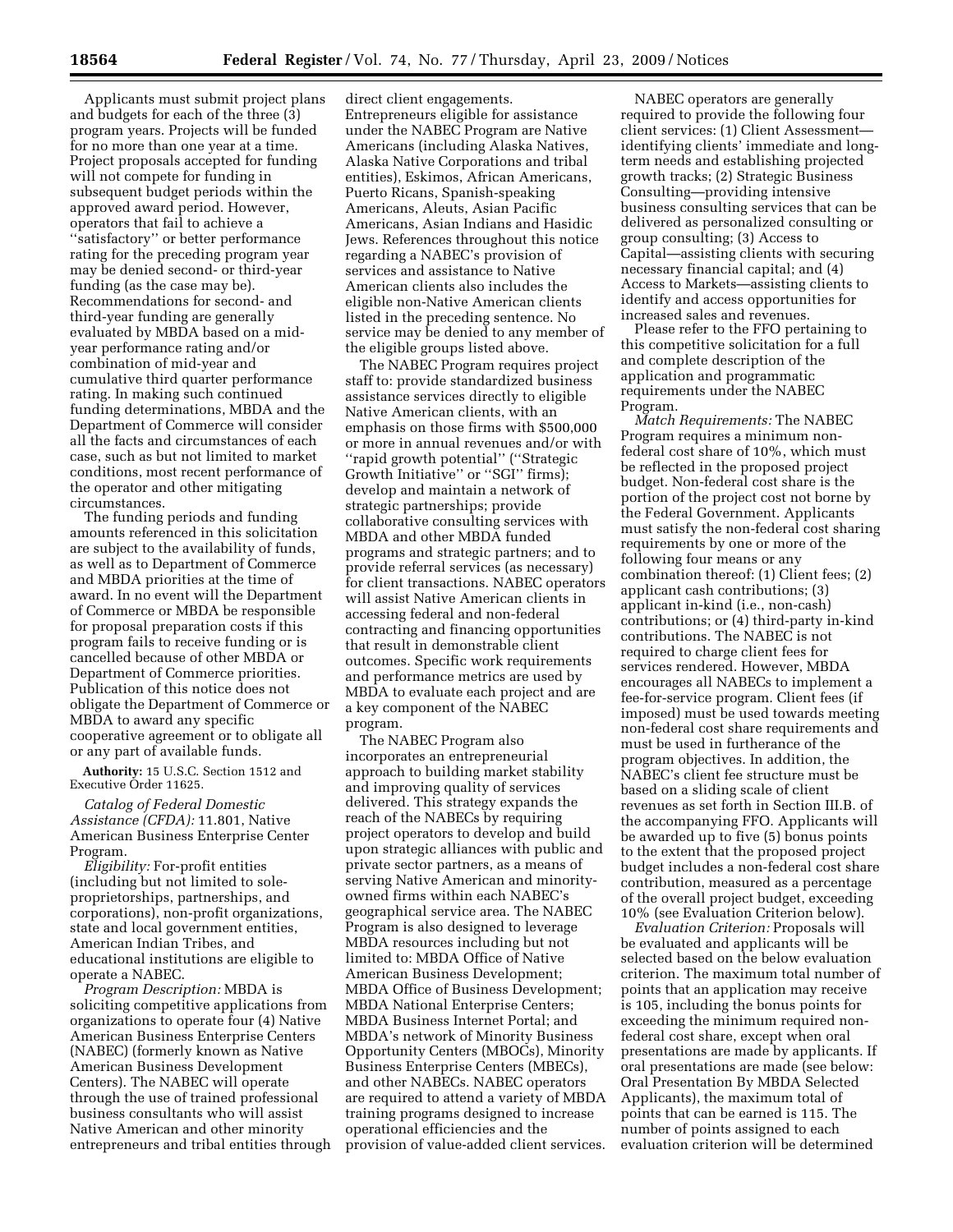Applicants must submit project plans and budgets for each of the three (3) program years. Projects will be funded for no more than one year at a time. Project proposals accepted for funding will not compete for funding in subsequent budget periods within the approved award period. However, operators that fail to achieve a ''satisfactory'' or better performance rating for the preceding program year may be denied second- or third-year funding (as the case may be). Recommendations for second- and third-year funding are generally evaluated by MBDA based on a midyear performance rating and/or combination of mid-year and cumulative third quarter performance rating. In making such continued funding determinations, MBDA and the Department of Commerce will consider all the facts and circumstances of each case, such as but not limited to market conditions, most recent performance of the operator and other mitigating circumstances.

The funding periods and funding amounts referenced in this solicitation are subject to the availability of funds, as well as to Department of Commerce and MBDA priorities at the time of award. In no event will the Department of Commerce or MBDA be responsible for proposal preparation costs if this program fails to receive funding or is cancelled because of other MBDA or Department of Commerce priorities. Publication of this notice does not obligate the Department of Commerce or MBDA to award any specific cooperative agreement or to obligate all or any part of available funds.

**Authority:** 15 U.S.C. Section 1512 and Executive Order 11625.

*Catalog of Federal Domestic Assistance (CFDA):* 11.801, Native American Business Enterprise Center Program.

*Eligibility:* For-profit entities (including but not limited to soleproprietorships, partnerships, and corporations), non-profit organizations, state and local government entities, American Indian Tribes, and educational institutions are eligible to operate a NABEC.

*Program Description:* MBDA is soliciting competitive applications from organizations to operate four (4) Native American Business Enterprise Centers (NABEC) (formerly known as Native American Business Development Centers). The NABEC will operate through the use of trained professional business consultants who will assist Native American and other minority entrepreneurs and tribal entities through direct client engagements. Entrepreneurs eligible for assistance under the NABEC Program are Native Americans (including Alaska Natives, Alaska Native Corporations and tribal entities), Eskimos, African Americans, Puerto Ricans, Spanish-speaking Americans, Aleuts, Asian Pacific Americans, Asian Indians and Hasidic Jews. References throughout this notice regarding a NABEC's provision of services and assistance to Native American clients also includes the eligible non-Native American clients listed in the preceding sentence. No service may be denied to any member of the eligible groups listed above.

The NABEC Program requires project staff to: provide standardized business assistance services directly to eligible Native American clients, with an emphasis on those firms with \$500,000 or more in annual revenues and/or with ''rapid growth potential'' (''Strategic Growth Initiative'' or ''SGI'' firms); develop and maintain a network of strategic partnerships; provide collaborative consulting services with MBDA and other MBDA funded programs and strategic partners; and to provide referral services (as necessary) for client transactions. NABEC operators will assist Native American clients in accessing federal and non-federal contracting and financing opportunities that result in demonstrable client outcomes. Specific work requirements and performance metrics are used by MBDA to evaluate each project and are a key component of the NABEC program.

The NABEC Program also incorporates an entrepreneurial approach to building market stability and improving quality of services delivered. This strategy expands the reach of the NABECs by requiring project operators to develop and build upon strategic alliances with public and private sector partners, as a means of serving Native American and minorityowned firms within each NABEC's geographical service area. The NABEC Program is also designed to leverage MBDA resources including but not limited to: MBDA Office of Native American Business Development; MBDA Office of Business Development; MBDA National Enterprise Centers; MBDA Business Internet Portal; and MBDA's network of Minority Business Opportunity Centers (MBOCs), Minority Business Enterprise Centers (MBECs), and other NABECs. NABEC operators are required to attend a variety of MBDA training programs designed to increase operational efficiencies and the provision of value-added client services.

NABEC operators are generally required to provide the following four client services: (1) Client Assessment identifying clients' immediate and longterm needs and establishing projected growth tracks; (2) Strategic Business Consulting—providing intensive business consulting services that can be delivered as personalized consulting or group consulting; (3) Access to Capital—assisting clients with securing necessary financial capital; and (4) Access to Markets—assisting clients to identify and access opportunities for increased sales and revenues.

Please refer to the FFO pertaining to this competitive solicitation for a full and complete description of the application and programmatic requirements under the NABEC Program.

*Match Requirements:* The NABEC Program requires a minimum nonfederal cost share of 10%, which must be reflected in the proposed project budget. Non-federal cost share is the portion of the project cost not borne by the Federal Government. Applicants must satisfy the non-federal cost sharing requirements by one or more of the following four means or any combination thereof: (1) Client fees; (2) applicant cash contributions; (3) applicant in-kind (i.e., non-cash) contributions; or (4) third-party in-kind contributions. The NABEC is not required to charge client fees for services rendered. However, MBDA encourages all NABECs to implement a fee-for-service program. Client fees (if imposed) must be used towards meeting non-federal cost share requirements and must be used in furtherance of the program objectives. In addition, the NABEC's client fee structure must be based on a sliding scale of client revenues as set forth in Section III.B. of the accompanying FFO. Applicants will be awarded up to five (5) bonus points to the extent that the proposed project budget includes a non-federal cost share contribution, measured as a percentage of the overall project budget, exceeding 10% (see Evaluation Criterion below).

*Evaluation Criterion:* Proposals will be evaluated and applicants will be selected based on the below evaluation criterion. The maximum total number of points that an application may receive is 105, including the bonus points for exceeding the minimum required nonfederal cost share, except when oral presentations are made by applicants. If oral presentations are made (see below: Oral Presentation By MBDA Selected Applicants), the maximum total of points that can be earned is 115. The number of points assigned to each evaluation criterion will be determined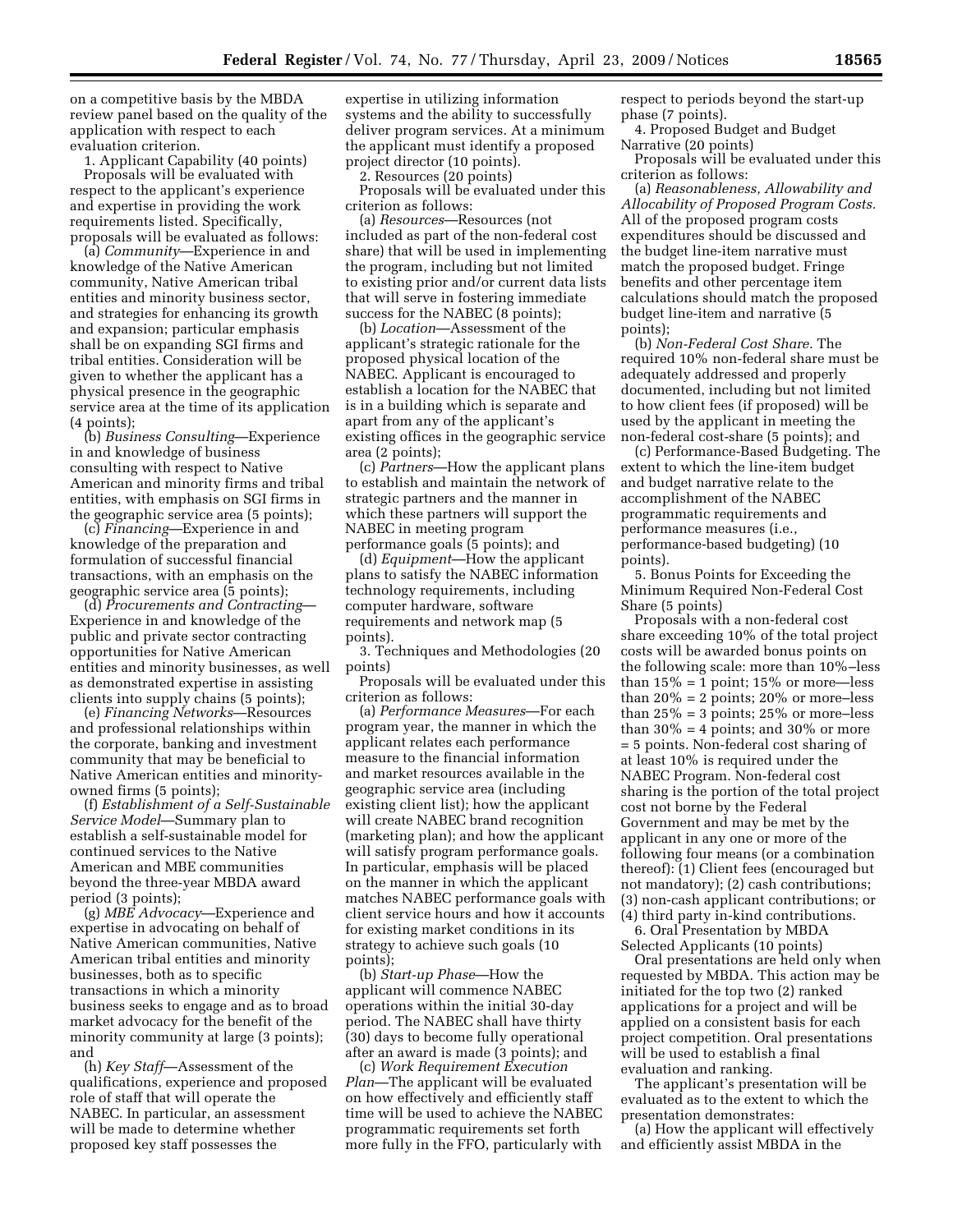on a competitive basis by the MBDA review panel based on the quality of the application with respect to each evaluation criterion.

1. Applicant Capability (40 points)

Proposals will be evaluated with respect to the applicant's experience and expertise in providing the work requirements listed. Specifically, proposals will be evaluated as follows:

(a) *Community*—Experience in and knowledge of the Native American community, Native American tribal entities and minority business sector, and strategies for enhancing its growth and expansion; particular emphasis shall be on expanding SGI firms and tribal entities. Consideration will be given to whether the applicant has a physical presence in the geographic service area at the time of its application (4 points);

(b) *Business Consulting*—Experience in and knowledge of business consulting with respect to Native American and minority firms and tribal entities, with emphasis on SGI firms in the geographic service area (5 points);

(c) *Financing*—Experience in and knowledge of the preparation and formulation of successful financial transactions, with an emphasis on the geographic service area (5 points);

(d) *Procurements and Contracting*— Experience in and knowledge of the public and private sector contracting opportunities for Native American entities and minority businesses, as well as demonstrated expertise in assisting clients into supply chains (5 points);

(e) *Financing Networks*—Resources and professional relationships within the corporate, banking and investment community that may be beneficial to Native American entities and minorityowned firms (5 points);

(f) *Establishment of a Self-Sustainable Service Model*—Summary plan to establish a self-sustainable model for continued services to the Native American and MBE communities beyond the three-year MBDA award period (3 points);

(g) *MBE Advocacy*—Experience and expertise in advocating on behalf of Native American communities, Native American tribal entities and minority businesses, both as to specific transactions in which a minority business seeks to engage and as to broad market advocacy for the benefit of the minority community at large (3 points); and

(h) *Key Staff*—Assessment of the qualifications, experience and proposed role of staff that will operate the NABEC. In particular, an assessment will be made to determine whether proposed key staff possesses the

expertise in utilizing information systems and the ability to successfully deliver program services. At a minimum the applicant must identify a proposed project director (10 points).

2. Resources (20 points)

Proposals will be evaluated under this criterion as follows:

(a) *Resources*—Resources (not included as part of the non-federal cost share) that will be used in implementing the program, including but not limited to existing prior and/or current data lists that will serve in fostering immediate success for the NABEC (8 points);

(b) *Location*—Assessment of the applicant's strategic rationale for the proposed physical location of the NABEC. Applicant is encouraged to establish a location for the NABEC that is in a building which is separate and apart from any of the applicant's existing offices in the geographic service area (2 points);

(c) *Partners*—How the applicant plans to establish and maintain the network of strategic partners and the manner in which these partners will support the NABEC in meeting program performance goals (5 points); and

(d) *Equipment*—How the applicant plans to satisfy the NABEC information technology requirements, including computer hardware, software requirements and network map (5 points).

3. Techniques and Methodologies (20 points)

Proposals will be evaluated under this criterion as follows:

(a) *Performance Measures*—For each program year, the manner in which the applicant relates each performance measure to the financial information and market resources available in the geographic service area (including existing client list); how the applicant will create NABEC brand recognition (marketing plan); and how the applicant will satisfy program performance goals. In particular, emphasis will be placed on the manner in which the applicant matches NABEC performance goals with client service hours and how it accounts for existing market conditions in its strategy to achieve such goals (10 points);

(b) *Start-up Phase*—How the applicant will commence NABEC operations within the initial 30-day period. The NABEC shall have thirty (30) days to become fully operational after an award is made (3 points); and

(c) *Work Requirement Execution Plan*—The applicant will be evaluated on how effectively and efficiently staff time will be used to achieve the NABEC programmatic requirements set forth more fully in the FFO, particularly with respect to periods beyond the start-up phase (7 points).

4. Proposed Budget and Budget Narrative (20 points)

Proposals will be evaluated under this criterion as follows:

(a) *Reasonableness, Allowability and Allocability of Proposed Program Costs.*  All of the proposed program costs expenditures should be discussed and the budget line-item narrative must match the proposed budget. Fringe benefits and other percentage item calculations should match the proposed budget line-item and narrative (5 points);

(b) *Non-Federal Cost Share.* The required 10% non-federal share must be adequately addressed and properly documented, including but not limited to how client fees (if proposed) will be used by the applicant in meeting the non-federal cost-share (5 points); and

(c) Performance-Based Budgeting. The extent to which the line-item budget and budget narrative relate to the accomplishment of the NABEC programmatic requirements and performance measures (i.e., performance-based budgeting) (10 points).

5. Bonus Points for Exceeding the Minimum Required Non-Federal Cost Share (5 points)

Proposals with a non-federal cost share exceeding 10% of the total project costs will be awarded bonus points on the following scale: more than 10%–less than  $15\% = 1$  point;  $15\%$  or more-less than  $20\% = 2$  points;  $20\%$  or more-less than  $25\% = 3$  points;  $25\%$  or more-less than  $30\% = 4$  points; and  $30\%$  or more = 5 points. Non-federal cost sharing of at least 10% is required under the NABEC Program. Non-federal cost sharing is the portion of the total project cost not borne by the Federal Government and may be met by the applicant in any one or more of the following four means (or a combination thereof): (1) Client fees (encouraged but not mandatory); (2) cash contributions; (3) non-cash applicant contributions; or (4) third party in-kind contributions.

6. Oral Presentation by MBDA Selected Applicants (10 points)

Oral presentations are held only when requested by MBDA. This action may be initiated for the top two (2) ranked applications for a project and will be applied on a consistent basis for each project competition. Oral presentations will be used to establish a final evaluation and ranking.

The applicant's presentation will be evaluated as to the extent to which the presentation demonstrates:

(a) How the applicant will effectively and efficiently assist MBDA in the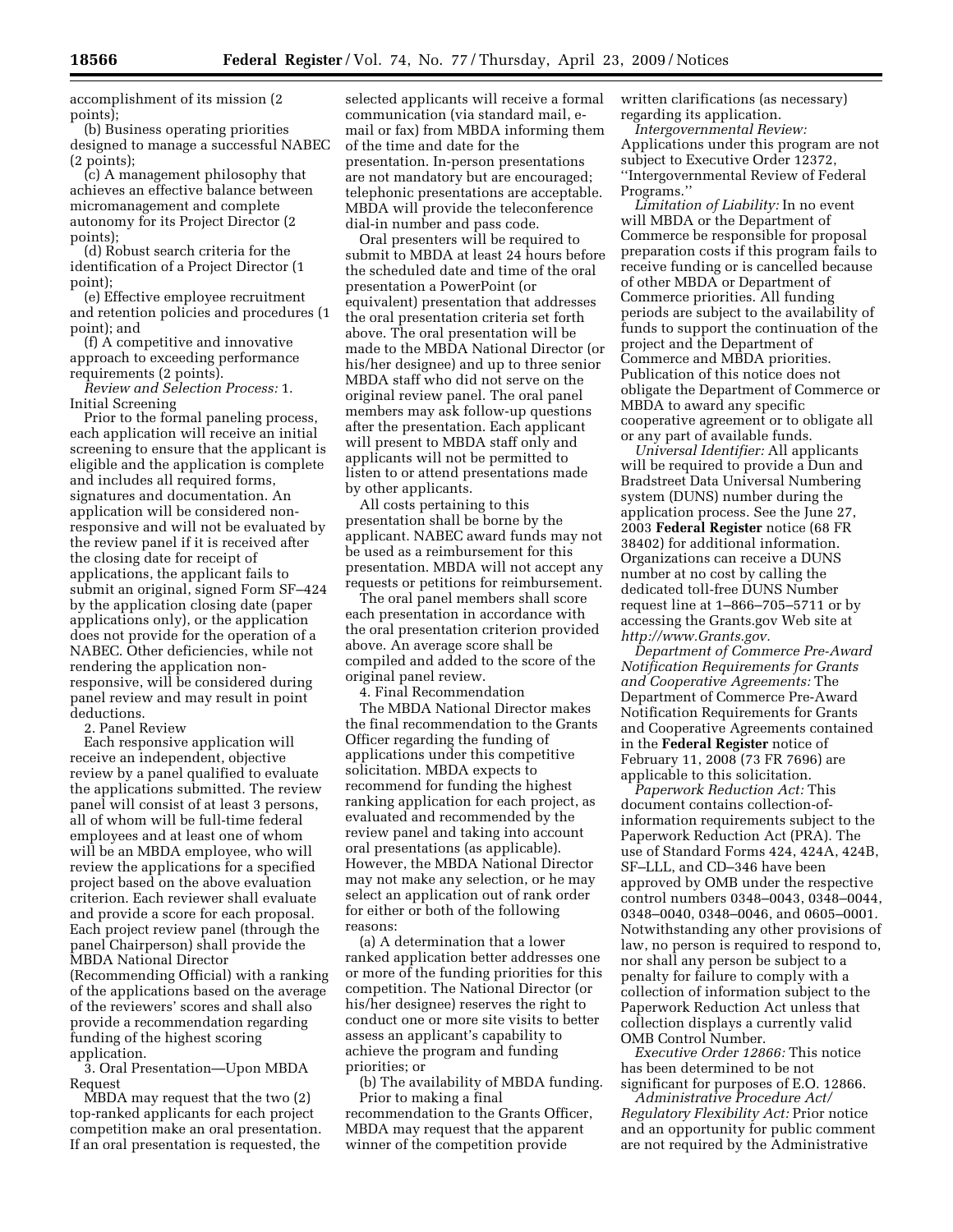accomplishment of its mission (2 points);

(b) Business operating priorities designed to manage a successful NABEC (2 points);

(c) A management philosophy that achieves an effective balance between micromanagement and complete autonomy for its Project Director (2 points);

(d) Robust search criteria for the identification of a Project Director (1 point);

(e) Effective employee recruitment and retention policies and procedures (1 point); and

(f) A competitive and innovative approach to exceeding performance requirements (2 points).

*Review and Selection Process:* 1. Initial Screening

Prior to the formal paneling process, each application will receive an initial screening to ensure that the applicant is eligible and the application is complete and includes all required forms, signatures and documentation. An application will be considered nonresponsive and will not be evaluated by the review panel if it is received after the closing date for receipt of applications, the applicant fails to submit an original, signed Form SF–424 by the application closing date (paper applications only), or the application does not provide for the operation of a NABEC. Other deficiencies, while not rendering the application nonresponsive, will be considered during panel review and may result in point deductions.

2. Panel Review

Each responsive application will receive an independent, objective review by a panel qualified to evaluate the applications submitted. The review panel will consist of at least 3 persons, all of whom will be full-time federal employees and at least one of whom will be an MBDA employee, who will review the applications for a specified project based on the above evaluation criterion. Each reviewer shall evaluate and provide a score for each proposal. Each project review panel (through the panel Chairperson) shall provide the MBDA National Director (Recommending Official) with a ranking of the applications based on the average of the reviewers' scores and shall also provide a recommendation regarding funding of the highest scoring application.

3. Oral Presentation—Upon MBDA Request

MBDA may request that the two (2) top-ranked applicants for each project competition make an oral presentation. If an oral presentation is requested, the

selected applicants will receive a formal communication (via standard mail, email or fax) from MBDA informing them of the time and date for the presentation. In-person presentations are not mandatory but are encouraged; telephonic presentations are acceptable. MBDA will provide the teleconference dial-in number and pass code.

Oral presenters will be required to submit to MBDA at least 24 hours before the scheduled date and time of the oral presentation a PowerPoint (or equivalent) presentation that addresses the oral presentation criteria set forth above. The oral presentation will be made to the MBDA National Director (or his/her designee) and up to three senior MBDA staff who did not serve on the original review panel. The oral panel members may ask follow-up questions after the presentation. Each applicant will present to MBDA staff only and applicants will not be permitted to listen to or attend presentations made by other applicants.

All costs pertaining to this presentation shall be borne by the applicant. NABEC award funds may not be used as a reimbursement for this presentation. MBDA will not accept any requests or petitions for reimbursement.

The oral panel members shall score each presentation in accordance with the oral presentation criterion provided above. An average score shall be compiled and added to the score of the original panel review.

4. Final Recommendation

The MBDA National Director makes the final recommendation to the Grants Officer regarding the funding of applications under this competitive solicitation. MBDA expects to recommend for funding the highest ranking application for each project, as evaluated and recommended by the review panel and taking into account oral presentations (as applicable). However, the MBDA National Director may not make any selection, or he may select an application out of rank order for either or both of the following reasons:

(a) A determination that a lower ranked application better addresses one or more of the funding priorities for this competition. The National Director (or his/her designee) reserves the right to conduct one or more site visits to better assess an applicant's capability to achieve the program and funding priorities; or

(b) The availability of MBDA funding. Prior to making a final

recommendation to the Grants Officer, MBDA may request that the apparent winner of the competition provide

written clarifications (as necessary) regarding its application.

*Intergovernmental Review:*  Applications under this program are not subject to Executive Order 12372, ''Intergovernmental Review of Federal Programs.''

*Limitation of Liability:* In no event will MBDA or the Department of Commerce be responsible for proposal preparation costs if this program fails to receive funding or is cancelled because of other MBDA or Department of Commerce priorities. All funding periods are subject to the availability of funds to support the continuation of the project and the Department of Commerce and MBDA priorities. Publication of this notice does not obligate the Department of Commerce or MBDA to award any specific cooperative agreement or to obligate all or any part of available funds.

*Universal Identifier:* All applicants will be required to provide a Dun and Bradstreet Data Universal Numbering system (DUNS) number during the application process. See the June 27, 2003 **Federal Register** notice (68 FR 38402) for additional information. Organizations can receive a DUNS number at no cost by calling the dedicated toll-free DUNS Number request line at 1–866–705–5711 or by accessing the Grants.gov Web site at *http://www.Grants.gov.* 

*Department of Commerce Pre-Award Notification Requirements for Grants and Cooperative Agreements:* The Department of Commerce Pre-Award Notification Requirements for Grants and Cooperative Agreements contained in the **Federal Register** notice of February 11, 2008 (73 FR 7696) are applicable to this solicitation.

*Paperwork Reduction Act:* This document contains collection-ofinformation requirements subject to the Paperwork Reduction Act (PRA). The use of Standard Forms 424, 424A, 424B, SF–LLL, and CD–346 have been approved by OMB under the respective control numbers 0348–0043, 0348–0044, 0348–0040, 0348–0046, and 0605–0001. Notwithstanding any other provisions of law, no person is required to respond to, nor shall any person be subject to a penalty for failure to comply with a collection of information subject to the Paperwork Reduction Act unless that collection displays a currently valid OMB Control Number.

*Executive Order 12866:* This notice has been determined to be not significant for purposes of E.O. 12866.

*Administrative Procedure Act/ Regulatory Flexibility Act:* Prior notice and an opportunity for public comment are not required by the Administrative